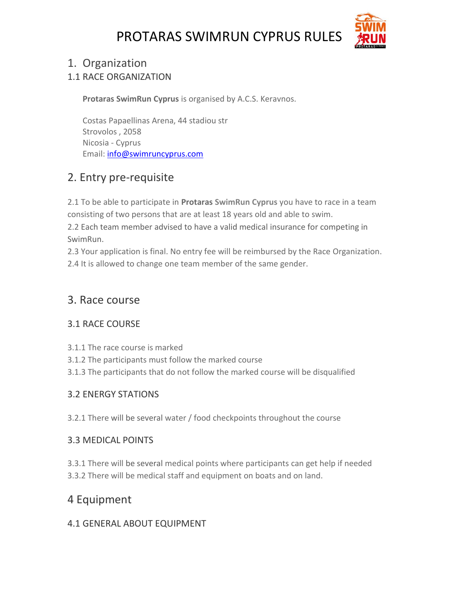

## 1. Organization

1.1 RACE ORGANIZATION

**Protaras SwimRun Cyprus** is organised by A.C.S. Keravnos.

Costas Papaellinas Arena, 44 stadiou str Strovolos , 2058 Nicosia - Cyprus Email: [info@swimruncyprus.com](mailto:info@swimruncyprus.com)

# 2. Entry pre-requisite

2.1 To be able to participate in **Protaras SwimRun Cyprus** you have to race in a team consisting of two persons that are at least 18 years old and able to swim.

2.2 Each team member advised to have a valid medical [insurance](http://otilloswimrun.com/insurance/) for competing in SwimRun.

2.3 Your application is final. No entry fee will be reimbursed by the Race Organization.

2.4 It is allowed to change one team member of the same gender.

## 3. Race course

## 3.1 RACE COURSE

- 3.1.1 The race course is marked
- 3.1.2 The participants must follow the marked course
- 3.1.3 The participants that do not follow the marked course will be disqualified

## 3.2 ENERGY STATIONS

3.2.1 There will be several water / food checkpoints throughout the course

## 3.3 MEDICAL POINTS

3.3.1 There will be several medical points where participants can get help if needed 3.3.2 There will be medical staff and equipment on boats and on land.

# 4 Equipment

## 4.1 GENERAL ABOUT EQUIPMENT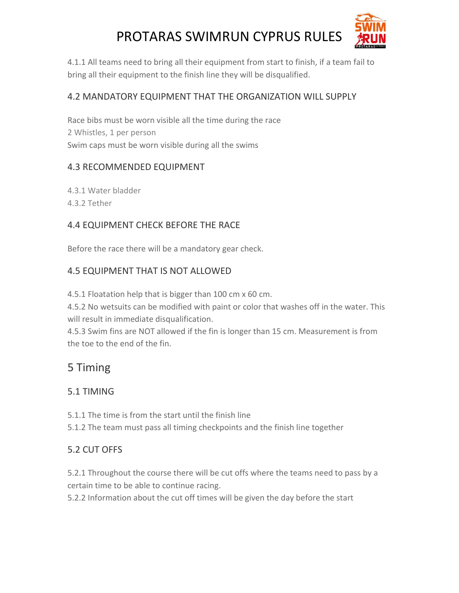

4.1.1 All teams need to bring all their equipment from start to finish, if a team fail to bring all their equipment to the finish line they will be disqualified.

#### 4.2 MANDATORY EQUIPMENT THAT THE ORGANIZATION WILL SUPPLY

Race bibs must be worn visible all the time during the race 2 Whistles, 1 per person Swim caps must be worn visible during all the swims

#### 4.3 RECOMMENDED EQUIPMENT

4.3.1 Water bladder

4.3.2 Tether

### 4.4 EQUIPMENT CHECK BEFORE THE RACE

Before the race there will be a mandatory gear check.

### 4.5 EQUIPMENT THAT IS NOT ALLOWED

4.5.1 Floatation help that is bigger than 100 cm x 60 cm.

4.5.2 No wetsuits can be modified with paint or color that washes off in the water. This will result in immediate disqualification.

4.5.3 Swim fins are NOT allowed if the fin is longer than 15 cm. Measurement is from the toe to the end of the fin.

# 5 Timing

## 5.1 TIMING

5.1.1 The time is from the start until the finish line

5.1.2 The team must pass all timing checkpoints and the finish line together

## 5.2 CUT OFFS

5.2.1 Throughout the course there will be cut offs where the teams need to pass by a certain time to be able to continue racing.

5.2.2 Information about the cut off times will be given the day before the start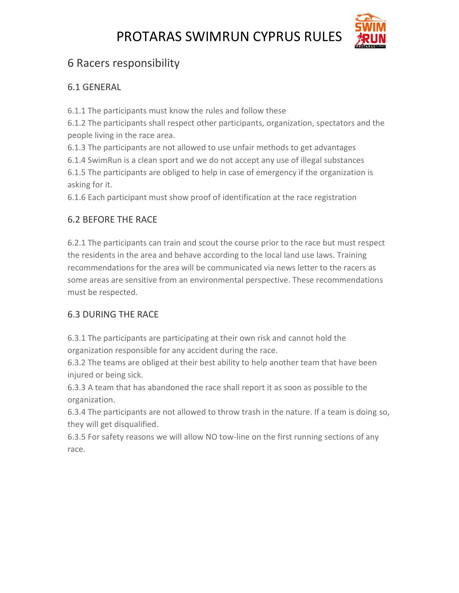

# 6 Racers responsibility

#### 6.1 GENERAL

6.1.1 The participants must know the rules and follow these

6.1.2 The participants shall respect other participants, organization, spectators and the people living in the race area.

6.1.3 The participants are not allowed to use unfair methods to get advantages

6.1.4 SwimRun is a clean sport and we do not accept any use of illegal substances

6.1.5 The participants are obliged to help in case of emergency if the organization is asking for it.

6.1.6 Each participant must show proof of identification at the race registration

## 6.2 BEFORE THE RACE

6.2.1 The participants can train and scout the course prior to the race but must respect the residents in the area and behave according to the local land use laws. Training recommendations for the area will be communicated via news letter to the racers as some areas are sensitive from an environmental perspective. These recommendations must be respected.

## 6.3 DURING THE RACE

6.3.1 The participants are participating at their own risk and cannot hold the organization responsible for any accident during the race.

6.3.2 The teams are obliged at their best ability to help another team that have been injured or being sick.

6.3.3 A team that has abandoned the race shall report it as soon as possible to the organization.

6.3.4 The participants are not allowed to throw trash in the nature. If a team is doing so, they will get disqualified.

6.3.5 For safety reasons we will allow NO tow-line on the first running sections of any race.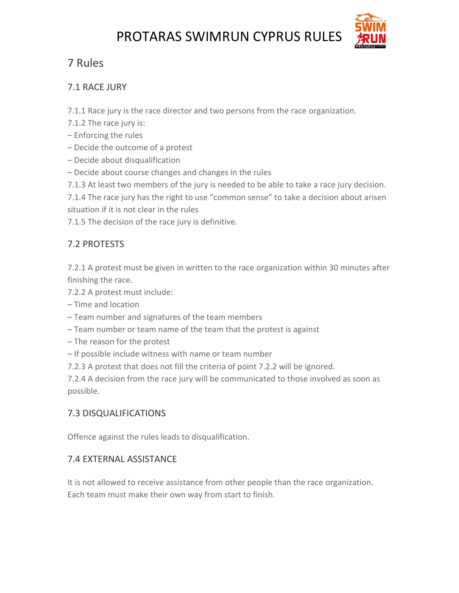

# 7 Rules

#### 7.1 RACE JURY

7.1.1 Race jury is the race director and two persons from the race organization.

- 7.1.2 The race jury is:
- Enforcing the rules
- Decide the outcome of a protest
- Decide about disqualification
- Decide about course changes and changes in the rules
- 7.1.3 At least two members of the jury is needed to be able to take a race jury decision.

7.1.4 The race jury has the right to use "common sense" to take a decision about arisen situation if it is not clear in the rules

7.1.5 The decision of the race jury is definitive.

## 7.2 PROTESTS

7.2.1 A protest must be given in written to the race organization within 30 minutes after finishing the race.

- 7.2.2 A protest must include:
- Time and location
- Team number and signatures of the team members
- Team number or team name of the team that the protest is against
- The reason for the protest
- If possible include witness with name or team number
- 7.2.3 A protest that does not fill the criteria of point 7.2.2 will be ignored.

7.2.4 A decision from the race jury will be communicated to those involved as soon as possible.

#### 7.3 DISQUALIFICATIONS

Offence against the rules leads to disqualification.

#### 7.4 EXTERNAL ASSISTANCE

It is not allowed to receive assistance from other people than the race organization. Each team must make their own way from start to finish.